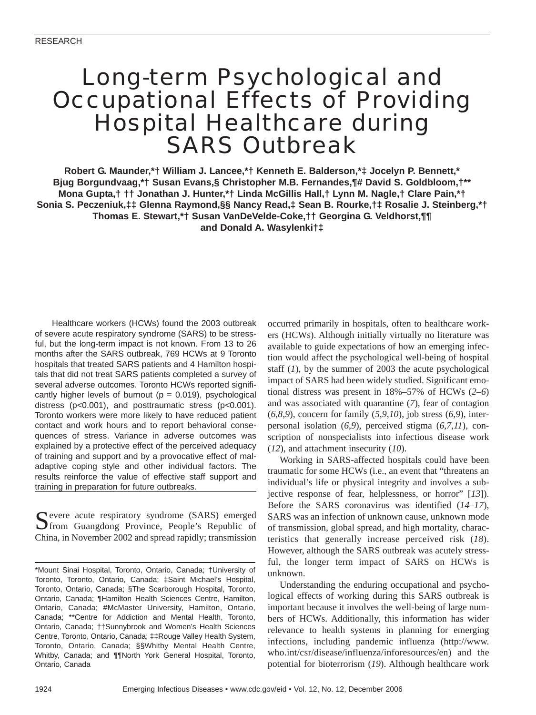# Long-term Psychological and Occupational Effects of Providing Hospital Healthcare during SARS Outbreak

**Robert G. Maunder,\*† William J. Lancee,\*† Kenneth E. Balderson,\*‡ Jocelyn P. Bennett,\* Bjug Borgundvaag,\*† Susan Evans,§ Christopher M.B. Fernandes,¶# David S. Goldbloom,†\*\* Mona Gupta,† †† Jonathan J. Hunter,\*† Linda McGillis Hall,† Lynn M. Nagle,† Clare Pain,\*† Sonia S. Peczeniuk,‡‡ Glenna Raymond,§§ Nancy Read,‡ Sean B. Rourke,†‡ Rosalie J. Steinberg,\*† Thomas E. Stewart,\*† Susan VanDeVelde-Coke,†† Georgina G. Veldhorst,¶¶ and Donald A. Wasylenki†‡**

Healthcare workers (HCWs) found the 2003 outbreak of severe acute respiratory syndrome (SARS) to be stressful, but the long-term impact is not known. From 13 to 26 months after the SARS outbreak, 769 HCWs at 9 Toronto hospitals that treated SARS patients and 4 Hamilton hospitals that did not treat SARS patients completed a survey of several adverse outcomes. Toronto HCWs reported significantly higher levels of burnout ( $p = 0.019$ ), psychological distress (p<0.001), and posttraumatic stress (p<0.001). Toronto workers were more likely to have reduced patient contact and work hours and to report behavioral consequences of stress. Variance in adverse outcomes was explained by a protective effect of the perceived adequacy of training and support and by a provocative effect of maladaptive coping style and other individual factors. The results reinforce the value of effective staff support and training in preparation for future outbreaks.

**C** evere acute respiratory syndrome (SARS) emerged **S**trom Guangdong Province, People's Republic of China, in November 2002 and spread rapidly; transmission occurred primarily in hospitals, often to healthcare workers (HCWs). Although initially virtually no literature was available to guide expectations of how an emerging infection would affect the psychological well-being of hospital staff (*1*), by the summer of 2003 the acute psychological impact of SARS had been widely studied. Significant emotional distress was present in 18%–57% of HCWs (*2*–*6*) and was associated with quarantine (*7*), fear of contagion (*6*,*8*,*9*), concern for family (*5*,*9*,*10*), job stress (*6*,*9*), interpersonal isolation (*6*,*9*), perceived stigma (*6*,*7*,*11*), conscription of nonspecialists into infectious disease work (*12*), and attachment insecurity (*10*).

Working in SARS-affected hospitals could have been traumatic for some HCWs (i.e., an event that "threatens an individual's life or physical integrity and involves a subjective response of fear, helplessness, or horror" [*13*]). Before the SARS coronavirus was identified (*14*–*17*), SARS was an infection of unknown cause, unknown mode of transmission, global spread, and high mortality, characteristics that generally increase perceived risk (*18*). However, although the SARS outbreak was acutely stressful, the longer term impact of SARS on HCWs is unknown.

Understanding the enduring occupational and psychological effects of working during this SARS outbreak is important because it involves the well-being of large numbers of HCWs. Additionally, this information has wider relevance to health systems in planning for emerging infections, including pandemic influenza (http://www. who.int/csr/disease/influenza/inforesources/en) and the potential for bioterrorism (*19*). Although healthcare work

<sup>\*</sup>Mount Sinai Hospital, Toronto, Ontario, Canada; †University of Toronto, Toronto, Ontario, Canada; ‡Saint Michael's Hospital, Toronto, Ontario, Canada; §The Scarborough Hospital, Toronto, Ontario, Canada; ¶Hamilton Health Sciences Centre, Hamilton, Ontario, Canada; #McMaster University, Hamilton, Ontario, Canada; \*\*Centre for Addiction and Mental Health, Toronto, Ontario, Canada; ††Sunnybrook and Women's Health Sciences Centre, Toronto, Ontario, Canada; ‡‡Rouge Valley Health System, Toronto, Ontario, Canada; §§Whitby Mental Health Centre, Whitby, Canada; and ¶¶North York General Hospital, Toronto, Ontario, Canada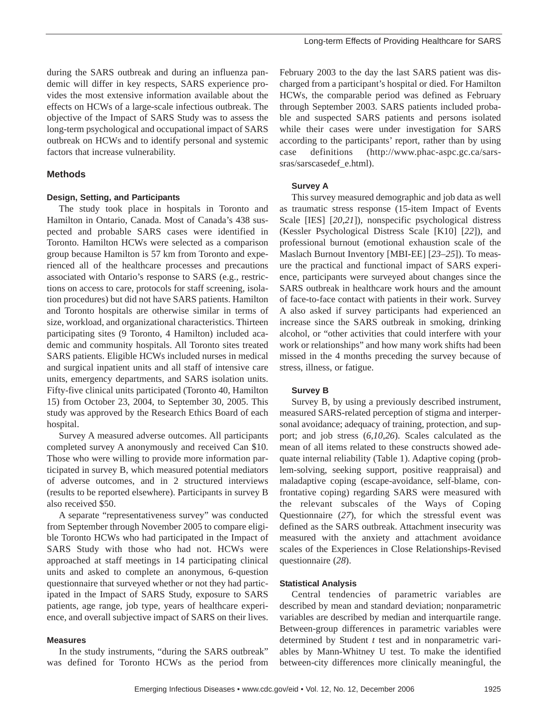during the SARS outbreak and during an influenza pandemic will differ in key respects, SARS experience provides the most extensive information available about the effects on HCWs of a large-scale infectious outbreak. The objective of the Impact of SARS Study was to assess the long-term psychological and occupational impact of SARS outbreak on HCWs and to identify personal and systemic factors that increase vulnerability.

# **Methods**

#### **Design, Setting, and Participants**

The study took place in hospitals in Toronto and Hamilton in Ontario, Canada. Most of Canada's 438 suspected and probable SARS cases were identified in Toronto. Hamilton HCWs were selected as a comparison group because Hamilton is 57 km from Toronto and experienced all of the healthcare processes and precautions associated with Ontario's response to SARS (e.g., restrictions on access to care, protocols for staff screening, isolation procedures) but did not have SARS patients. Hamilton and Toronto hospitals are otherwise similar in terms of size, workload, and organizational characteristics. Thirteen participating sites (9 Toronto, 4 Hamilton) included academic and community hospitals. All Toronto sites treated SARS patients. Eligible HCWs included nurses in medical and surgical inpatient units and all staff of intensive care units, emergency departments, and SARS isolation units. Fifty-five clinical units participated (Toronto 40, Hamilton 15) from October 23, 2004, to September 30, 2005. This study was approved by the Research Ethics Board of each hospital.

Survey A measured adverse outcomes. All participants completed survey A anonymously and received Can \$10. Those who were willing to provide more information participated in survey B, which measured potential mediators of adverse outcomes, and in 2 structured interviews (results to be reported elsewhere). Participants in survey B also received \$50.

A separate "representativeness survey" was conducted from September through November 2005 to compare eligible Toronto HCWs who had participated in the Impact of SARS Study with those who had not. HCWs were approached at staff meetings in 14 participating clinical units and asked to complete an anonymous, 6-question questionnaire that surveyed whether or not they had participated in the Impact of SARS Study, exposure to SARS patients, age range, job type, years of healthcare experience, and overall subjective impact of SARS on their lives.

#### **Measures**

In the study instruments, "during the SARS outbreak" was defined for Toronto HCWs as the period from

February 2003 to the day the last SARS patient was discharged from a participant's hospital or died. For Hamilton HCWs, the comparable period was defined as February through September 2003. SARS patients included probable and suspected SARS patients and persons isolated while their cases were under investigation for SARS according to the participants' report, rather than by using case definitions (http://www.phac-aspc.gc.ca/sarssras/sarscasedef\_e.html).

#### **Survey A**

This survey measured demographic and job data as well as traumatic stress response (15-item Impact of Events Scale [IES] [*20,21*]), nonspecific psychological distress (Kessler Psychological Distress Scale [K10] [*22*]), and professional burnout (emotional exhaustion scale of the Maslach Burnout Inventory [MBI-EE] [*23–25*]). To measure the practical and functional impact of SARS experience, participants were surveyed about changes since the SARS outbreak in healthcare work hours and the amount of face-to-face contact with patients in their work. Survey A also asked if survey participants had experienced an increase since the SARS outbreak in smoking, drinking alcohol, or "other activities that could interfere with your work or relationships" and how many work shifts had been missed in the 4 months preceding the survey because of stress, illness, or fatigue.

#### **Survey B**

Survey B, by using a previously described instrument, measured SARS-related perception of stigma and interpersonal avoidance; adequacy of training, protection, and support; and job stress (*6*,*10*,*26*). Scales calculated as the mean of all items related to these constructs showed adequate internal reliability (Table 1). Adaptive coping (problem-solving, seeking support, positive reappraisal) and maladaptive coping (escape-avoidance, self-blame, confrontative coping) regarding SARS were measured with the relevant subscales of the Ways of Coping Questionnaire (*27*), for which the stressful event was defined as the SARS outbreak. Attachment insecurity was measured with the anxiety and attachment avoidance scales of the Experiences in Close Relationships-Revised questionnaire (*28*).

#### **Statistical Analysis**

Central tendencies of parametric variables are described by mean and standard deviation; nonparametric variables are described by median and interquartile range. Between-group differences in parametric variables were determined by Student *t* test and in nonparametric variables by Mann-Whitney U test. To make the identified between-city differences more clinically meaningful, the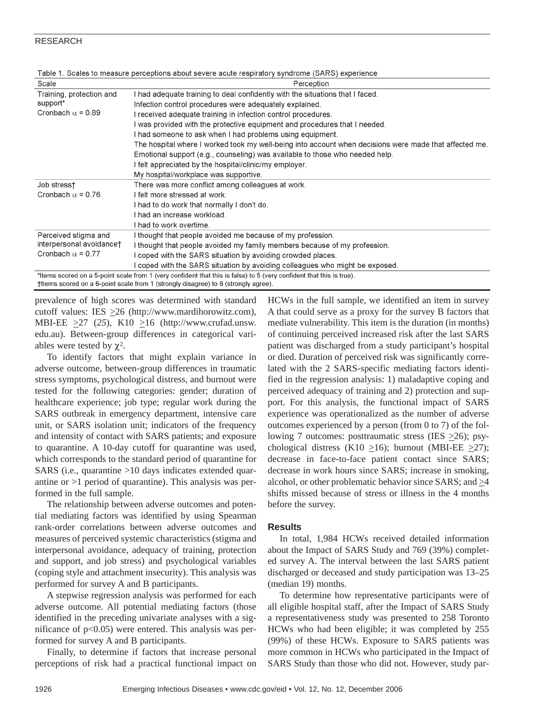|                          | Table 1. Scales to measure perceptions about severe acute respiratory syndrome (SARS) experience                     |  |  |  |  |  |
|--------------------------|----------------------------------------------------------------------------------------------------------------------|--|--|--|--|--|
| Scale                    | Perception                                                                                                           |  |  |  |  |  |
| Training, protection and | I had adequate training to deal confidently with the situations that I faced.                                        |  |  |  |  |  |
| support*                 | Infection control procedures were adequately explained.                                                              |  |  |  |  |  |
| Cronbach $\alpha$ = 0.89 | received adequate training in infection control procedures.                                                          |  |  |  |  |  |
|                          | I was provided with the protective equipment and procedures that I needed.                                           |  |  |  |  |  |
|                          | I had someone to ask when I had problems using equipment.                                                            |  |  |  |  |  |
|                          | The hospital where I worked took my well-being into account when decisions were made that affected me.               |  |  |  |  |  |
|                          | Emotional support (e.g., counseling) was available to those who needed help.                                         |  |  |  |  |  |
|                          | I felt appreciated by the hospital/clinic/my employer.                                                               |  |  |  |  |  |
|                          | My hospital/workplace was supportive.                                                                                |  |  |  |  |  |
| Job stress†              | There was more conflict among colleagues at work.                                                                    |  |  |  |  |  |
| Cronbach $\alpha$ = 0.76 | I felt more stressed at work.                                                                                        |  |  |  |  |  |
|                          | I had to do work that normally I don't do.                                                                           |  |  |  |  |  |
|                          | l had an increase workload.                                                                                          |  |  |  |  |  |
|                          | l had to work overtime.                                                                                              |  |  |  |  |  |
| Perceived stigma and     | I thought that people avoided me because of my profession.                                                           |  |  |  |  |  |
| interpersonal avoidance† | I thought that people avoided my family members because of my profession.                                            |  |  |  |  |  |
| Cronbach $\alpha$ = 0.77 | coped with the SARS situation by avoiding crowded places.                                                            |  |  |  |  |  |
|                          | coped with the SARS situation by avoiding colleagues who might be exposed.                                           |  |  |  |  |  |
|                          | *Items scored on a 5-point scale from 1 (very confident that this is false) to 5 (very confident that this is true). |  |  |  |  |  |
|                          | thems scored on a 6-point scale from 1 (strongly disagree) to 6 (strongly agree)                                     |  |  |  |  |  |

prevalence of high scores was determined with standard cutoff values: IES  $\geq$ 26 (http://www.mardihorowitz.com), MBI-EE  $\geq$ 27 (25), K10  $\geq$ 16 (http://www.crufad.unsw. edu.au). Between-group differences in categorical variables were tested by  $\chi^2$ .

To identify factors that might explain variance in adverse outcome, between-group differences in traumatic stress symptoms, psychological distress, and burnout were tested for the following categories: gender; duration of healthcare experience; job type; regular work during the SARS outbreak in emergency department, intensive care unit, or SARS isolation unit; indicators of the frequency and intensity of contact with SARS patients; and exposure to quarantine. A 10-day cutoff for quarantine was used, which corresponds to the standard period of quarantine for SARS (i.e., quarantine >10 days indicates extended quarantine or >1 period of quarantine). This analysis was performed in the full sample.

The relationship between adverse outcomes and potential mediating factors was identified by using Spearman rank-order correlations between adverse outcomes and measures of perceived systemic characteristics (stigma and interpersonal avoidance, adequacy of training, protection and support, and job stress) and psychological variables (coping style and attachment insecurity). This analysis was performed for survey A and B participants.

A stepwise regression analysis was performed for each adverse outcome. All potential mediating factors (those identified in the preceding univariate analyses with a significance of  $p<0.05$ ) were entered. This analysis was performed for survey A and B participants.

Finally, to determine if factors that increase personal perceptions of risk had a practical functional impact on HCWs in the full sample, we identified an item in survey A that could serve as a proxy for the survey B factors that mediate vulnerability. This item is the duration (in months) of continuing perceived increased risk after the last SARS patient was discharged from a study participant's hospital or died. Duration of perceived risk was significantly correlated with the 2 SARS-specific mediating factors identified in the regression analysis: 1) maladaptive coping and perceived adequacy of training and 2) protection and support. For this analysis, the functional impact of SARS experience was operationalized as the number of adverse outcomes experienced by a person (from 0 to 7) of the following 7 outcomes: posttraumatic stress (IES  $\geq$ 26); psychological distress (K10  $\geq$ 16); burnout (MBI-EE  $\geq$ 27); decrease in face-to-face patient contact since SARS; decrease in work hours since SARS; increase in smoking, alcohol, or other problematic behavior since SARS; and  $\geq$ 4 shifts missed because of stress or illness in the 4 months before the survey.

# **Results**

In total, 1,984 HCWs received detailed information about the Impact of SARS Study and 769 (39%) completed survey A. The interval between the last SARS patient discharged or deceased and study participation was 13–25 (median 19) months.

To determine how representative participants were of all eligible hospital staff, after the Impact of SARS Study a representativeness study was presented to 258 Toronto HCWs who had been eligible; it was completed by 255 (99%) of these HCWs. Exposure to SARS patients was more common in HCWs who participated in the Impact of SARS Study than those who did not. However, study par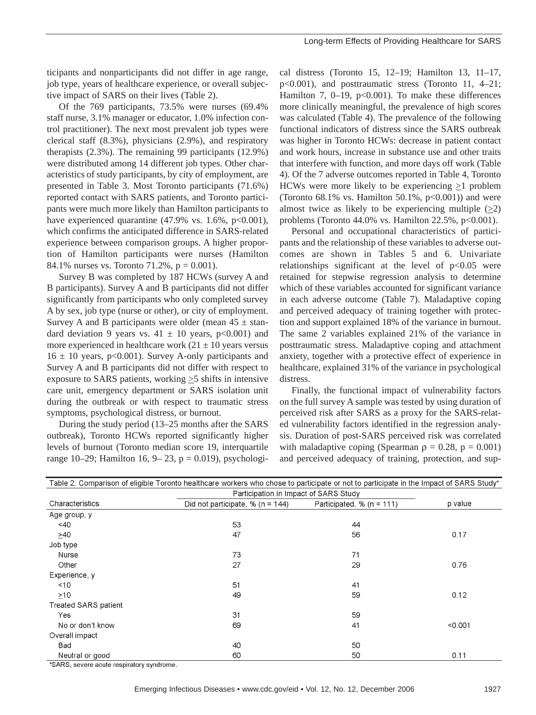ticipants and nonparticipants did not differ in age range, job type, years of healthcare experience, or overall subjective impact of SARS on their lives (Table 2).

Of the 769 participants, 73.5% were nurses (69.4% staff nurse, 3.1% manager or educator, 1.0% infection control practitioner). The next most prevalent job types were clerical staff (8.3%), physicians (2.9%), and respiratory therapists (2.3%). The remaining 99 participants (12.9%) were distributed among 14 different job types. Other characteristics of study participants, by city of employment, are presented in Table 3. Most Toronto participants (71.6%) reported contact with SARS patients, and Toronto participants were much more likely than Hamilton participants to have experienced quarantine  $(47.9\% \text{ vs. } 1.6\%, \text{ p} < 0.001)$ , which confirms the anticipated difference in SARS-related experience between comparison groups. A higher proportion of Hamilton participants were nurses (Hamilton 84.1% nurses vs. Toronto 71.2%,  $p = 0.001$ ).

Survey B was completed by 187 HCWs (survey A and B participants). Survey A and B participants did not differ significantly from participants who only completed survey A by sex, job type (nurse or other), or city of employment. Survey A and B participants were older (mean  $45 \pm \text{stan}$ dard deviation 9 years vs.  $41 \pm 10$  years, p<0.001) and more experienced in healthcare work  $(21 \pm 10)$  years versus  $16 \pm 10$  years, p<0.001). Survey A-only participants and Survey A and B participants did not differ with respect to exposure to SARS patients, working  $\geq$ 5 shifts in intensive care unit, emergency department or SARS isolation unit during the outbreak or with respect to traumatic stress symptoms, psychological distress, or burnout.

During the study period (13–25 months after the SARS outbreak), Toronto HCWs reported significantly higher levels of burnout (Toronto median score 19, interquartile range 10–29; Hamilton 16, 9– 23,  $p = 0.019$ ), psychologi-

cal distress (Toronto 15, 12–19; Hamilton 13, 11–17, p<0.001), and posttraumatic stress (Toronto 11, 4–21; Hamilton 7, 0–19,  $p<0.001$ ). To make these differences more clinically meaningful, the prevalence of high scores was calculated (Table 4). The prevalence of the following functional indicators of distress since the SARS outbreak was higher in Toronto HCWs: decrease in patient contact and work hours, increase in substance use and other traits that interfere with function, and more days off work (Table 4). Of the 7 adverse outcomes reported in Table 4, Toronto HCWs were more likely to be experiencing  $\geq 1$  problem (Toronto  $68.1\%$  vs. Hamilton  $50.1\%$ ,  $p<0.001$ )) and were almost twice as likely to be experiencing multiple  $(\geq 2)$ problems (Toronto 44.0% vs. Hamilton  $22.5\%$ ,  $p<0.001$ ).

Personal and occupational characteristics of participants and the relationship of these variables to adverse outcomes are shown in Tables 5 and 6. Univariate relationships significant at the level of  $p<0.05$  were retained for stepwise regression analysis to determine which of these variables accounted for significant variance in each adverse outcome (Table 7). Maladaptive coping and perceived adequacy of training together with protection and support explained 18% of the variance in burnout. The same 2 variables explained 21% of the variance in posttraumatic stress. Maladaptive coping and attachment anxiety, together with a protective effect of experience in healthcare, explained 31% of the variance in psychological distress.

Finally, the functional impact of vulnerability factors on the full survey A sample was tested by using duration of perceived risk after SARS as a proxy for the SARS-related vulnerability factors identified in the regression analysis. Duration of post-SARS perceived risk was correlated with maladaptive coping (Spearman  $\rho = 0.28$ ,  $p = 0.001$ ) and perceived adequacy of training, protection, and sup-

| Table 2. Comparison of eligible Toronto healthcare workers who chose to participate or not to participate in the Impact of SARS Study* |                                       |                             |         |  |  |  |
|----------------------------------------------------------------------------------------------------------------------------------------|---------------------------------------|-----------------------------|---------|--|--|--|
|                                                                                                                                        | Participation in Impact of SARS Study |                             |         |  |  |  |
| Characteristics                                                                                                                        | Did not participate, $% (n = 144)$    | Participated, $% (n = 111)$ | p value |  |  |  |
| Age group, y                                                                                                                           |                                       |                             |         |  |  |  |
| $<$ 40                                                                                                                                 | 53                                    | 44                          |         |  |  |  |
| >40                                                                                                                                    | 47                                    | 56                          | 0.17    |  |  |  |
| Job type                                                                                                                               |                                       |                             |         |  |  |  |
| Nurse                                                                                                                                  | 73                                    | 71                          |         |  |  |  |
| Other                                                                                                                                  | 27                                    | 29                          | 0.76    |  |  |  |
| Experience, y                                                                                                                          |                                       |                             |         |  |  |  |
| ~10                                                                                                                                    | 51                                    | 41                          |         |  |  |  |
| $\geq 10$                                                                                                                              | 49                                    | 59                          | 0.12    |  |  |  |
| Treated SARS patient                                                                                                                   |                                       |                             |         |  |  |  |
| Yes                                                                                                                                    | 31                                    | 59                          |         |  |  |  |
| No or don't know                                                                                                                       | 69                                    | 41                          | < 0.001 |  |  |  |
| Overall impact                                                                                                                         |                                       |                             |         |  |  |  |
| Bad                                                                                                                                    | 40                                    | 50                          |         |  |  |  |
| Neutral or good<br>$\cdots$<br>$\sim$                                                                                                  | 60                                    | 50                          | 0.11    |  |  |  |

\*SARS, severe acute respiratory syndrome.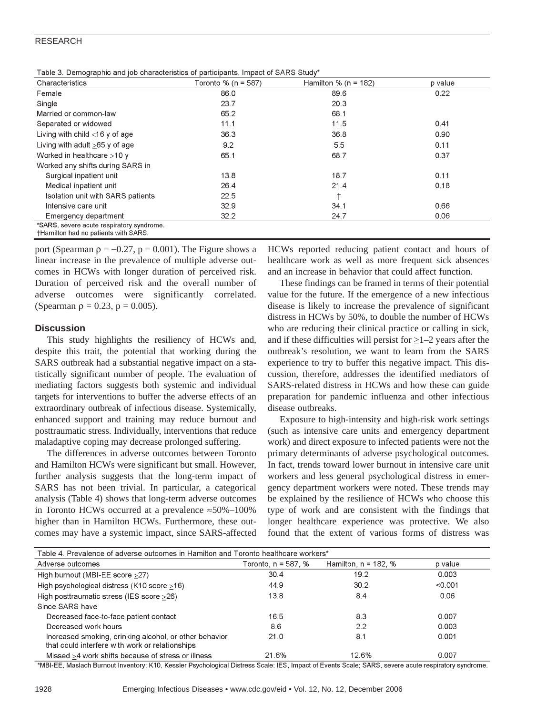Table 3. Demographic and job characteristics of participants. Impact of SARS Study\*

| Characteristics                   | Toronto $% (n = 587)$ | Hamilton % ( $n = 182$ ) | p value |
|-----------------------------------|-----------------------|--------------------------|---------|
| Female                            | 86.0                  | 89.6                     | 0.22    |
| Single                            | 23.7                  | 20.3                     |         |
| Married or common-law             | 65.2                  | 68.1                     |         |
| Separated or widowed              | 11.1                  | 11.5                     | 0.41    |
| Living with child $<$ 16 y of age | 36.3                  | 36.8                     | 0.90    |
| Living with adult $>65$ y of age  | 9.2                   | 5.5                      | 0.11    |
| Worked in healthcare $>10$ y      | 65.1                  | 68.7                     | 0.37    |
| Worked any shifts during SARS in  |                       |                          |         |
| Surgical inpatient unit           | 13.8                  | 18.7                     | 0.11    |
| Medical inpatient unit            | 26.4                  | 21.4                     | 0.18    |
| Isolation unit with SARS patients | 22.5                  | ÷                        |         |
| Intensive care unit               | 32.9                  | 34.1                     | 0.66    |
| Emergency department              | 32.2                  | 24.7                     | 0.06    |

†Hamilton had no patients with SARS

port (Spearman  $\rho = -0.27$ ,  $p = 0.001$ ). The Figure shows a linear increase in the prevalence of multiple adverse outcomes in HCWs with longer duration of perceived risk. Duration of perceived risk and the overall number of adverse outcomes were significantly correlated. (Spearman  $\rho = 0.23$ ,  $p = 0.005$ ).

# **Discussion**

This study highlights the resiliency of HCWs and, despite this trait, the potential that working during the SARS outbreak had a substantial negative impact on a statistically significant number of people. The evaluation of mediating factors suggests both systemic and individual targets for interventions to buffer the adverse effects of an extraordinary outbreak of infectious disease. Systemically, enhanced support and training may reduce burnout and posttraumatic stress. Individually, interventions that reduce maladaptive coping may decrease prolonged suffering.

The differences in adverse outcomes between Toronto and Hamilton HCWs were significant but small. However, further analysis suggests that the long-term impact of SARS has not been trivial. In particular, a categorical analysis (Table 4) shows that long-term adverse outcomes in Toronto HCWs occurred at a prevalence ≈50%–100% higher than in Hamilton HCWs. Furthermore, these outcomes may have a systemic impact, since SARS-affected HCWs reported reducing patient contact and hours of healthcare work as well as more frequent sick absences and an increase in behavior that could affect function.

These findings can be framed in terms of their potential value for the future. If the emergence of a new infectious disease is likely to increase the prevalence of significant distress in HCWs by 50%, to double the number of HCWs who are reducing their clinical practice or calling in sick, and if these difficulties will persist for  $\geq$  1–2 years after the outbreak's resolution, we want to learn from the SARS experience to try to buffer this negative impact. This discussion, therefore, addresses the identified mediators of SARS-related distress in HCWs and how these can guide preparation for pandemic influenza and other infectious disease outbreaks.

Exposure to high-intensity and high-risk work settings (such as intensive care units and emergency department work) and direct exposure to infected patients were not the primary determinants of adverse psychological outcomes. In fact, trends toward lower burnout in intensive care unit workers and less general psychological distress in emergency department workers were noted. These trends may be explained by the resilience of HCWs who choose this type of work and are consistent with the findings that longer healthcare experience was protective. We also found that the extent of various forms of distress was

| Table 4. Prevalence of adverse outcomes in Hamilton and Toronto healthcare workers*                       |                       |                        |         |  |  |  |
|-----------------------------------------------------------------------------------------------------------|-----------------------|------------------------|---------|--|--|--|
| Adverse outcomes                                                                                          | Toronto, $n = 587, %$ | Hamilton, $n = 182, %$ | p value |  |  |  |
| High burnout (MBI-EE score >27)                                                                           | 30.4                  | 19.2                   | 0.003   |  |  |  |
| High psychological distress (K10 score >16)                                                               | 44.9                  | 30.2                   | < 0.001 |  |  |  |
| High posttraumatic stress (IES score >26)                                                                 | 13.8                  | 8.4                    | 0.06    |  |  |  |
| Since SARS have                                                                                           |                       |                        |         |  |  |  |
| Decreased face-to-face patient contact                                                                    | 16.5                  | 8.3                    | 0.007   |  |  |  |
| Decreased work hours                                                                                      | 8.6                   | 2.2                    | 0.003   |  |  |  |
| Increased smoking, drinking alcohol, or other behavior<br>that could interfere with work or relationships | 21.0                  | 8.1                    | 0.001   |  |  |  |
| Missed >4 work shifts because of stress or illness                                                        | 21.6%                 | 12.6%                  | 0.007   |  |  |  |

\*MBI-EE, Maslach Burnout Inventory; K10, Kessler Psychological Distress Scale; IES, Impact of Events Scale; SARS, severe acute respiratory syndrome.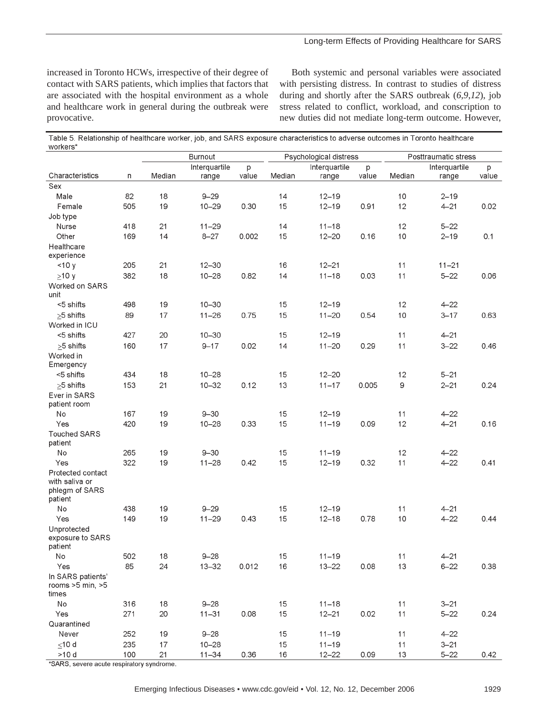increased in Toronto HCWs, irrespective of their degree of contact with SARS patients, which implies that factors that are associated with the hospital environment as a whole and healthcare work in general during the outbreak were provocative.

Both systemic and personal variables were associated with persisting distress. In contrast to studies of distress during and shortly after the SARS outbreak (*6*,*9*,*12*), job stress related to conflict, workload, and conscription to new duties did not mediate long-term outcome. However,

|          | Table 5. Relationship of healthcare worker, job, and SARS exposure characteristics to adverse outcomes in Toronto healthcare |  |
|----------|------------------------------------------------------------------------------------------------------------------------------|--|
| workers* |                                                                                                                              |  |

|                                                                  |     |        | Burnout       |       | Psychological distress |               | Posttraumatic stress |             |               |       |
|------------------------------------------------------------------|-----|--------|---------------|-------|------------------------|---------------|----------------------|-------------|---------------|-------|
|                                                                  |     |        | Interquartile | p     |                        | Interquartile | p                    |             | Interquartile | p     |
| Characteristics                                                  | n   | Median | range         | value | Median                 | range         | value                | Median      | range         | value |
| Sex                                                              |     |        |               |       |                        |               |                      |             |               |       |
| Male                                                             | 82  | 18     | $9 - 29$      |       | 14                     | $12 - 19$     |                      | 10          | $2 - 19$      |       |
| Female                                                           | 505 | 19     | $10 - 29$     | 0.30  | 15                     | $12 - 19$     | 0.91                 | 12          | $4 - 21$      | 0.02  |
| Job type                                                         |     |        |               |       |                        |               |                      |             |               |       |
| Nurse                                                            | 418 | 21     | $11 - 29$     |       | 14                     | $11 - 18$     |                      | 12          | $5 - 22$      |       |
| Other                                                            | 169 | 14     | $8 - 27$      | 0.002 | 15                     | $12 - 20$     | 0.16                 | 10          | $2 - 19$      | 0.1   |
| Healthcare<br>experience                                         |     |        |               |       |                        |               |                      |             |               |       |
| $<$ 10 $y$                                                       | 205 | 21     | $12 - 30$     |       | 16                     | $12 - 21$     |                      | 11          | $11 - 21$     |       |
| >10 y                                                            | 382 | 18     | $10 - 28$     | 0.82  | 14                     | $11 - 18$     | 0.03                 | 11          | $5 - 22$      | 0.06  |
| Worked on SARS<br>unit                                           |     |        |               |       |                        |               |                      |             |               |       |
| <5 shifts                                                        | 498 | 19     | $10 - 30$     |       | 15                     | $12 - 19$     |                      | 12          | $4 - 22$      |       |
| >5 shifts                                                        | 89  | 17     | $11 - 26$     | 0.75  | 15                     | $11 - 20$     | 0.54                 | 10          | $3 - 17$      | 0.63  |
| Worked in ICU                                                    |     |        |               |       |                        |               |                      |             |               |       |
| <5 shifts                                                        | 427 | 20     | $10 - 30$     |       | 15                     | $12 - 19$     |                      | 11          | $4 - 21$      |       |
| $\geq$ 5 shifts                                                  | 160 | 17     | $9 - 17$      | 0.02  | 14                     | $11 - 20$     | 0.29                 | 11          | $3 - 22$      | 0.46  |
| Worked in<br>Emergency                                           |     |        |               |       |                        |               |                      |             |               |       |
| <5 shifts                                                        | 434 | 18     | $10 - 28$     |       | 15                     | $12 - 20$     |                      | 12          | $5 - 21$      |       |
| $\geq$ 5 shifts                                                  | 153 | 21     | $10 - 32$     | 0.12  | 13                     | $11 - 17$     | 0.005                | $\mathsf g$ | $2 - 21$      | 0.24  |
| Ever in SARS<br>patient room                                     |     |        |               |       |                        |               |                      |             |               |       |
| No                                                               | 167 | 19     | $9 - 30$      |       | 15                     | $12 - 19$     |                      | 11          | $4 - 22$      |       |
| Yes                                                              | 420 | 19     | $10 - 28$     | 0.33  | 15                     | $11 - 19$     | 0.09                 | 12          | $4 - 21$      | 0.16  |
| <b>Touched SARS</b><br>patient                                   |     |        |               |       |                        |               |                      |             |               |       |
| No                                                               | 265 | 19     | $9 - 30$      |       | 15                     | $11 - 19$     |                      | 12          | $4 - 22$      |       |
| Yes                                                              | 322 | 19     | $11 - 28$     | 0.42  | 15                     | $12 - 19$     | 0.32                 | 11          | $4 - 22$      | 0.41  |
| Protected contact<br>with saliva or<br>phlegm of SARS<br>patient |     |        |               |       |                        |               |                      |             |               |       |
| No                                                               | 438 | 19     | $9 - 29$      |       | 15                     | $12 - 19$     |                      | 11          | $4 - 21$      |       |
| Yes                                                              | 149 | 19     | $11 - 29$     | 0.43  | 15                     | $12 - 18$     | 0.78                 | 10          | $4 - 22$      | 0.44  |
| Unprotected<br>exposure to SARS<br>patient                       |     |        |               |       |                        |               |                      |             |               |       |
| No                                                               | 502 | 18     | $9 - 28$      |       | 15                     | $11 - 19$     |                      | 11          | $4 - 21$      |       |
| Yes                                                              | 85  | 24     | $13 - 32$     | 0.012 | 16                     | $13 - 22$     | 0.08                 | 13          | $6 - 22$      | 0.38  |
| In SARS patients'<br>rooms $>5$ min. $>5$<br>times               |     |        |               |       |                        |               |                      |             |               |       |
| $\operatorname{\mathsf{No}}$                                     | 316 | 18     | $9 - 28$      |       | 15                     | $11 - 18$     |                      | 11          | $3 - 21$      |       |
| Yes                                                              | 271 | 20     | $11 - 31$     | 0.08  | 15                     | $12 - 21$     | 0.02                 | 11          | $5 - 22$      | 0.24  |
| Quarantined                                                      |     |        |               |       |                        |               |                      |             |               |       |
| Never                                                            | 252 | 19     | $9 - 28$      |       | 15                     | $11 - 19$     |                      | 11          | $4 - 22$      |       |
| $\leq 10$ d                                                      | 235 | 17     | $10 - 28$     |       | 15                     | $11 - 19$     |                      | 11          | $3 - 21$      |       |
| >10d<br>*CADC covere coute requiredory syndroms                  | 100 | 21     | $11 - 34$     | 0.36  | 16                     | $12 - 22$     | 0.09                 | 13          | $5 - 22$      | 0.42  |

'SARS, severe acute respiratory syndrome.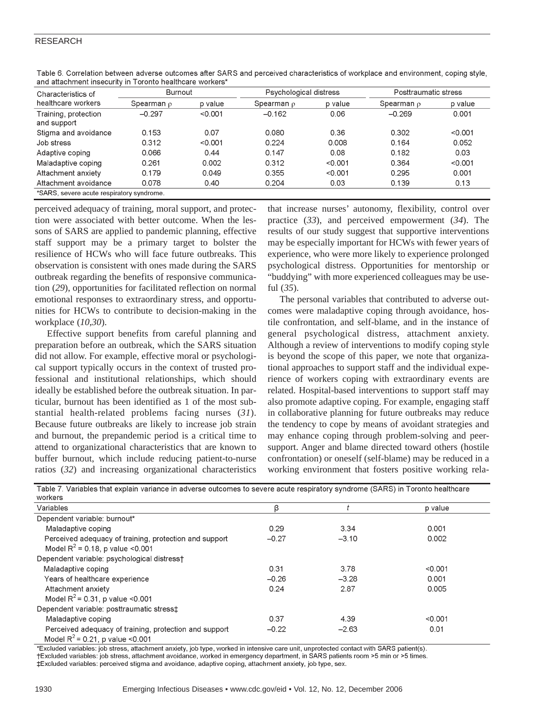| Characteristics of                        | Burnout         |         | Psychological distress |         | Posttraumatic stress |         |
|-------------------------------------------|-----------------|---------|------------------------|---------|----------------------|---------|
| healthcare workers                        | Spearman $\rho$ | p value | Spearman $\rho$        | p value | Spearman $\rho$      | p value |
| Training, protection<br>and support       | $-0.297$        | < 0.001 | $-0.162$               | 0.06    | $-0.269$             | 0.001   |
| Stigma and avoidance                      | 0.153           | 0.07    | 0.080                  | 0.36    | 0.302                | < 0.001 |
| Job stress                                | 0.312           | < 0.001 | 0.224                  | 0.008   | 0.164                | 0.052   |
| Adaptive coping                           | 0.066           | 0.44    | 0.147                  | 0.08    | 0.182                | 0.03    |
| Maladaptive coping                        | 0.261           | 0.002   | 0.312                  | < 0.001 | 0.364                | < 0.001 |
| Attachment anxiety                        | 0.179           | 0.049   | 0.355                  | < 0.001 | 0.295                | 0.001   |
| Attachment avoidance                      | 0.078           | 0.40    | 0.204                  | 0.03    | 0.139                | 0.13    |
| *SARS, severe acute respiratory syndrome. |                 |         |                        |         |                      |         |

Table 6. Correlation between adverse outcomes after SARS and perceived characteristics of workplace and environment, coping style, and attachment insecurity in Toronto healthcare workers\*

perceived adequacy of training, moral support, and protection were associated with better outcome. When the lessons of SARS are applied to pandemic planning, effective staff support may be a primary target to bolster the resilience of HCWs who will face future outbreaks. This observation is consistent with ones made during the SARS outbreak regarding the benefits of responsive communication (*29*), opportunities for facilitated reflection on normal emotional responses to extraordinary stress, and opportunities for HCWs to contribute to decision-making in the workplace (*10*,*30*).

Effective support benefits from careful planning and preparation before an outbreak, which the SARS situation did not allow. For example, effective moral or psychological support typically occurs in the context of trusted professional and institutional relationships, which should ideally be established before the outbreak situation. In particular, burnout has been identified as 1 of the most substantial health-related problems facing nurses (*31*). Because future outbreaks are likely to increase job strain and burnout, the prepandemic period is a critical time to attend to organizational characteristics that are known to buffer burnout, which include reducing patient-to-nurse ratios (*32*) and increasing organizational characteristics

that increase nurses' autonomy, flexibility, control over practice (*33*), and perceived empowerment (*34*). The results of our study suggest that supportive interventions may be especially important for HCWs with fewer years of experience, who were more likely to experience prolonged psychological distress. Opportunities for mentorship or "buddying" with more experienced colleagues may be useful (*35*).

The personal variables that contributed to adverse outcomes were maladaptive coping through avoidance, hostile confrontation, and self-blame, and in the instance of general psychological distress, attachment anxiety. Although a review of interventions to modify coping style is beyond the scope of this paper, we note that organizational approaches to support staff and the individual experience of workers coping with extraordinary events are related. Hospital-based interventions to support staff may also promote adaptive coping. For example, engaging staff in collaborative planning for future outbreaks may reduce the tendency to cope by means of avoidant strategies and may enhance coping through problem-solving and peersupport. Anger and blame directed toward others (hostile confrontation) or oneself (self-blame) may be reduced in a working environment that fosters positive working rela-

| Table 7. Variables that explain variance in adverse outcomes to severe acute respiratory syndrome (SARS) in Toronto healthcare<br>workers |         |         |         |  |  |  |  |
|-------------------------------------------------------------------------------------------------------------------------------------------|---------|---------|---------|--|--|--|--|
| Variables                                                                                                                                 | ß       |         | p value |  |  |  |  |
| Dependent variable: burnout*                                                                                                              |         |         |         |  |  |  |  |
| Maladaptive coping                                                                                                                        | 0.29    | 3.34    | 0.001   |  |  |  |  |
| Perceived adequacy of training, protection and support                                                                                    | $-0.27$ | $-3.10$ | 0.002   |  |  |  |  |
| Model $R^2$ = 0.18, p value < 0.001                                                                                                       |         |         |         |  |  |  |  |
| Dependent variable: psychological distress†                                                                                               |         |         |         |  |  |  |  |
| Maladaptive coping                                                                                                                        | 0.31    | 3.78    | < 0.001 |  |  |  |  |
| Years of healthcare experience                                                                                                            | $-0.26$ | $-3.28$ | 0.001   |  |  |  |  |
| Attachment anxiety                                                                                                                        | 0.24    | 2.87    | 0.005   |  |  |  |  |
| Model $R^2$ = 0.31, p value < 0.001                                                                                                       |         |         |         |  |  |  |  |
| Dependent variable: posttraumatic stress‡                                                                                                 |         |         |         |  |  |  |  |
| Maladaptive coping                                                                                                                        | 0.37    | 4.39    | < 0.001 |  |  |  |  |
| Perceived adequacy of training, protection and support<br>Model $R^2$ = 0.21, p value < 0.001                                             | $-0.22$ | $-2.63$ | 0.01    |  |  |  |  |

\*Excluded variables: job stress, attachment anxiety, job type, worked in intensive care unit, unprotected contact with SARS patient(s). †Excluded variables: job stress, attachment avoidance, worked in emergency department, in SARS patients room >5 min or >5 times. ‡Excluded variables: perceived stigma and avoidance, adaptive coping, attachment anxiety, job type, sex.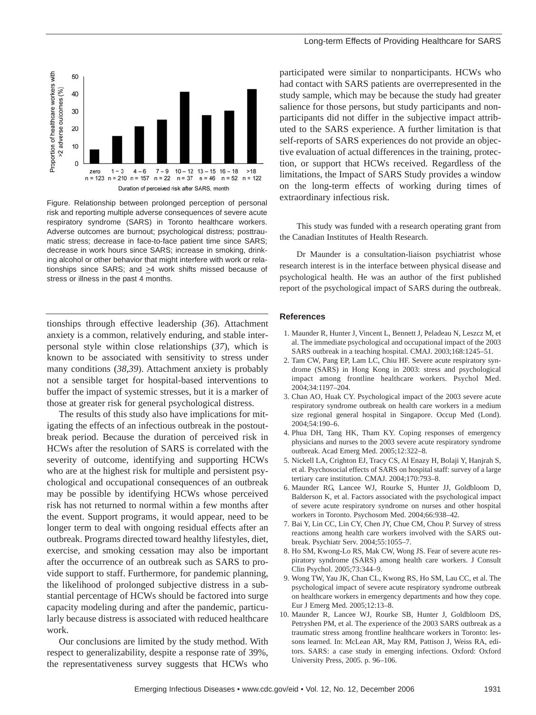



Figure. Relationship between prolonged perception of personal risk and reporting multiple adverse consequences of severe acute respiratory syndrome (SARS) in Toronto healthcare workers. Adverse outcomes are burnout; psychological distress; posttraumatic stress; decrease in face-to-face patient time since SARS; decrease in work hours since SARS; increase in smoking, drinking alcohol or other behavior that might interfere with work or relationships since SARS; and >4 work shifts missed because of stress or illness in the past 4 months.

tionships through effective leadership (*36*). Attachment anxiety is a common, relatively enduring, and stable interpersonal style within close relationships (*37*), which is known to be associated with sensitivity to stress under many conditions (*38,39*). Attachment anxiety is probably not a sensible target for hospital-based interventions to buffer the impact of systemic stresses, but it is a marker of those at greater risk for general psychological distress.

The results of this study also have implications for mitigating the effects of an infectious outbreak in the postoutbreak period. Because the duration of perceived risk in HCWs after the resolution of SARS is correlated with the severity of outcome, identifying and supporting HCWs who are at the highest risk for multiple and persistent psychological and occupational consequences of an outbreak may be possible by identifying HCWs whose perceived risk has not returned to normal within a few months after the event. Support programs, it would appear, need to be longer term to deal with ongoing residual effects after an outbreak. Programs directed toward healthy lifestyles, diet, exercise, and smoking cessation may also be important after the occurrence of an outbreak such as SARS to provide support to staff. Furthermore, for pandemic planning, the likelihood of prolonged subjective distress in a substantial percentage of HCWs should be factored into surge capacity modeling during and after the pandemic, particularly because distress is associated with reduced healthcare work.

Our conclusions are limited by the study method. With respect to generalizability, despite a response rate of 39%, the representativeness survey suggests that HCWs who

participated were similar to nonparticipants. HCWs who had contact with SARS patients are overrepresented in the study sample, which may be because the study had greater salience for those persons, but study participants and nonparticipants did not differ in the subjective impact attributed to the SARS experience. A further limitation is that self-reports of SARS experiences do not provide an objective evaluation of actual differences in the training, protection, or support that HCWs received. Regardless of the limitations, the Impact of SARS Study provides a window on the long-term effects of working during times of extraordinary infectious risk.

Long-term Effects of Providing Healthcare for SARS

This study was funded with a research operating grant from the Canadian Institutes of Health Research.

Dr Maunder is a consultation-liaison psychiatrist whose research interest is in the interface between physical disease and psychological health. He was an author of the first published report of the psychological impact of SARS during the outbreak.

#### **References**

- 1. Maunder R, Hunter J, Vincent L, Bennett J, Peladeau N, Leszcz M, et al. The immediate psychological and occupational impact of the 2003 SARS outbreak in a teaching hospital. CMAJ. 2003;168:1245–51.
- 2. Tam CW, Pang EP, Lam LC, Chiu HF. Severe acute respiratory syndrome (SARS) in Hong Kong in 2003: stress and psychological impact among frontline healthcare workers. Psychol Med. 2004;34:1197–204.
- 3. Chan AO, Huak CY. Psychological impact of the 2003 severe acute respiratory syndrome outbreak on health care workers in a medium size regional general hospital in Singapore. Occup Med (Lond). 2004;54:190–6.
- 4. Phua DH, Tang HK, Tham KY. Coping responses of emergency physicians and nurses to the 2003 severe acute respiratory syndrome outbreak. Acad Emerg Med. 2005;12:322–8.
- 5. Nickell LA, Crighton EJ, Tracy CS, Al Enazy H, Bolaji Y, Hanjrah S, et al. Psychosocial effects of SARS on hospital staff: survey of a large tertiary care institution. CMAJ. 2004;170:793–8.
- 6. Maunder RG, Lancee WJ, Rourke S, Hunter JJ, Goldbloom D, Balderson K, et al. Factors associated with the psychological impact of severe acute respiratory syndrome on nurses and other hospital workers in Toronto. Psychosom Med. 2004;66:938–42.
- 7. Bai Y, Lin CC, Lin CY, Chen JY, Chue CM, Chou P. Survey of stress reactions among health care workers involved with the SARS outbreak. Psychiatr Serv. 2004;55:1055–7.
- 8. Ho SM, Kwong-Lo RS, Mak CW, Wong JS. Fear of severe acute respiratory syndrome (SARS) among health care workers. J Consult Clin Psychol. 2005;73:344–9.
- 9. Wong TW, Yau JK, Chan CL, Kwong RS, Ho SM, Lau CC, et al. The psychological impact of severe acute respiratory syndrome outbreak on healthcare workers in emergency departments and how they cope. Eur J Emerg Med. 2005;12:13–8.
- 10. Maunder R, Lancee WJ, Rourke SB, Hunter J, Goldbloom DS, Petryshen PM, et al. The experience of the 2003 SARS outbreak as a traumatic stress among frontline healthcare workers in Toronto: lessons learned. In: McLean AR, May RM, Pattison J, Weiss RA, editors. SARS: a case study in emerging infections. Oxford: Oxford University Press, 2005. p. 96–106.